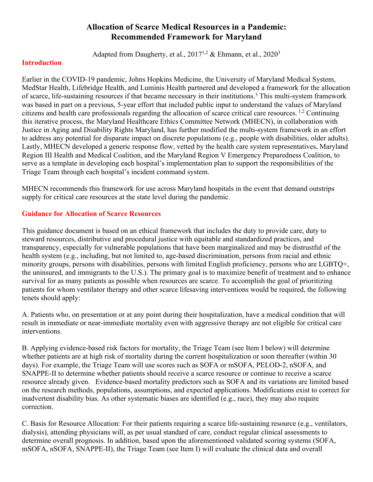# **Allocation of Scarce Medical Resources in a Pandemic: Recommended Framework for Maryland**

Adapted from Daugherty, et al.,  $2017^{1,2}$  & Ehmann, et al.,  $2020^3$ 

### **Introduction**

Earlier in the COVID-19 pandemic, Johns Hopkins Medicine, the University of Maryland Medical System, MedStar Health, Lifebridge Health, and Luminis Health partnered and developed a framework for the allocation of scarce, life-sustaining resources if that became necessary in their institutions. <sup>3</sup> This multi-system framework was based in part on a previous, 5-year effort that included public input to understand the values of Maryland citizens and health care professionals regarding the allocation of scarce critical care resources. 1,2 Continuing this iterative process, the Maryland Healthcare Ethics Committee Network (MHECN), in collaboration with Justice in Aging and Disability Rights Maryland, has further modified the multi-system framework in an effort to address any potential for disparate impact on discrete populations (e.g., people with disabilities, older adults). Lastly, MHECN developed a generic response flow, vetted by the health care system representatives, Maryland Region III Health and Medical Coalition, and the Maryland Region V Emergency Preparedness Coalition, to serve as a template in developing each hospital's implementation plan to support the responsibilities of the Triage Team through each hospital's incident command system.

MHECN recommends this framework for use across Maryland hospitals in the event that demand outstrips supply for critical care resources at the state level during the pandemic.

### **Guidance for Allocation of Scarce Resources**

This guidance document is based on an ethical framework that includes the duty to provide care, duty to steward resources, distributive and procedural justice with equitable and standardized practices, and transparency, especially for vulnerable populations that have been marginalized and may be distrustful of the health system (e.g., including, but not limited to, age-based discrimination, persons from racial and ethnic minority groups, persons with disabilities, persons with limited English proficiency, persons who are LGBTQ+, the uninsured, and immigrants to the U.S.). The primary goal is to maximize benefit of treatment and to enhance survival for as many patients as possible when resources are scarce. To accomplish the goal of prioritizing patients for whom ventilator therapy and other scarce lifesaving interventions would be required, the following tenets should apply:

A. Patients who, on presentation or at any point during their hospitalization, have a medical condition that will result in immediate or near-immediate mortality even with aggressive therapy are not eligible for critical care interventions.

B. Applying evidence-based risk factors for mortality, the Triage Team (see Item I below) will determine whether patients are at high risk of mortality during the current hospitalization or soon thereafter (within 30 days). For example, the Triage Team will use scores such as SOFA or mSOFA, PELOD-2, nSOFA, and SNAPPE-II to determine whether patients should receive a scarce resource or continue to receive a scarce resource already given. Evidence-based mortality predictors such as SOFA and its variations are limited based on the research methods, populations, assumptions, and expected applications. Modifications exist to correct for inadvertent disability bias. As other systematic biases are identified (e.g., race), they may also require correction.

C. Basis for Resource Allocation: For their patients requiring a scarce life-sustaining resource (e.g., ventilators, dialysis), attending physicians will, as per usual standard of care, conduct regular clinical assessments to determine overall prognosis. In addition, based upon the aforementioned validated scoring systems (SOFA, mSOFA, nSOFA, SNAPPE-II), the Triage Team (see Item I) will evaluate the clinical data and overall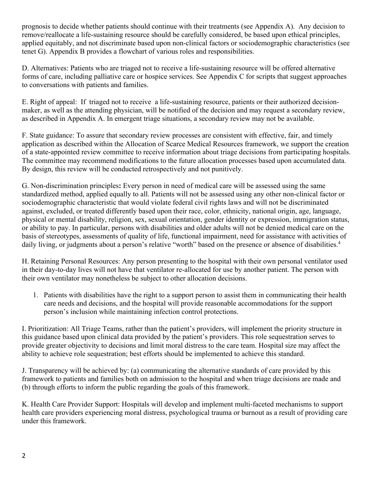prognosis to decide whether patients should continue with their treatments (see Appendix A). Any decision to remove/reallocate a life-sustaining resource should be carefully considered, be based upon ethical principles, applied equitably, and not discriminate based upon non-clinical factors or sociodemographic characteristics (see tenet G). Appendix B provides a flowchart of various roles and responsibilities.

D. Alternatives: Patients who are triaged not to receive a life-sustaining resource will be offered alternative forms of care, including palliative care or hospice services. See Appendix C for scripts that suggest approaches to conversations with patients and families.

E. Right of appeal: If triaged not to receive a life-sustaining resource, patients or their authorized decisionmaker, as well as the attending physician, will be notified of the decision and may request a secondary review, as described in Appendix A. In emergent triage situations, a secondary review may not be available.

F. State guidance: To assure that secondary review processes are consistent with effective, fair, and timely application as described within the Allocation of Scarce Medical Resources framework, we support the creation of a state-appointed review committee to receive information about triage decisions from participating hospitals. The committee may recommend modifications to the future allocation processes based upon accumulated data. By design, this review will be conducted retrospectively and not punitively.

G. Non-discrimination principles**:** Every person in need of medical care will be assessed using the same standardized method, applied equally to all. Patients will not be assessed using any other non-clinical factor or sociodemographic characteristic that would violate federal civil rights laws and will not be discriminated against, excluded, or treated differently based upon their race, color, ethnicity, national origin, age, language, physical or mental disability, religion, sex, sexual orientation, gender identity or expression, immigration status, or ability to pay. In particular, persons with disabilities and older adults will not be denied medical care on the basis of stereotypes, assessments of quality of life, functional impairment, need for assistance with activities of daily living, or judgments about a person's relative "worth" based on the presence or absence of disabilities.<sup>4</sup>

H. Retaining Personal Resources: Any person presenting to the hospital with their own personal ventilator used in their day-to-day lives will not have that ventilator re-allocated for use by another patient. The person with their own ventilator may nonetheless be subject to other allocation decisions.

1. Patients with disabilities have the right to a support person to assist them in communicating their health care needs and decisions, and the hospital will provide reasonable accommodations for the support person's inclusion while maintaining infection control protections.

I. Prioritization: All Triage Teams, rather than the patient's providers, will implement the priority structure in this guidance based upon clinical data provided by the patient's providers. This role sequestration serves to provide greater objectivity to decisions and limit moral distress to the care team. Hospital size may affect the ability to achieve role sequestration; best efforts should be implemented to achieve this standard.

J. Transparency will be achieved by: (a) communicating the alternative standards of care provided by this framework to patients and families both on admission to the hospital and when triage decisions are made and (b) through efforts to inform the public regarding the goals of this framework.

K. Health Care Provider Support: Hospitals will develop and implement multi-faceted mechanisms to support health care providers experiencing moral distress, psychological trauma or burnout as a result of providing care under this framework.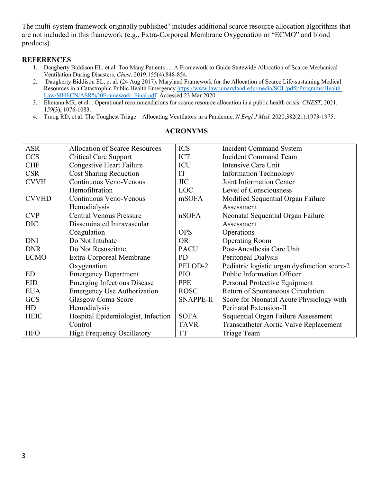The multi-system framework originally published<sup>3</sup> includes additional scarce resource allocation algorithms that are not included in this framework (e.g., Extra-Corporeal Membrane Oxygenation or "ECMO" and blood products).

#### **REFERENCES**

- 1. Daugherty Biddison EL, et al. Too Many Patients … A Framework to Guide Statewide Allocation of Scarce Mechanical Ventilation During Disasters. *Chest*. 2019;155(4):848-854.
- 2. Daugherty Biddison EL, et al. (24 Aug 2017). Maryland Framework for the Allocation of Scarce Life-sustaining Medical Resources in a Catastrophic Public Health Emergency https://www.law.umaryland.edu/media/SOL/pdfs/Programs/Health-Law/MHECN/ASR%20Framework\_Final.pdf. Accessed 23 Mar 2020.
- 3. Ehmann MR, et al. . Operational recommendations for scarce resource allocation in a public health crisis. *CHEST,* 2021; 1*59*(3), 1076-1083.
- 4. Truog RD, et al. The Toughest Triage Allocating Ventilators in a Pandemic. *N Engl J Med*. 2020;382(21):1973-1975.

| <b>ASR</b>   | Allocation of Scarce Resources     | <b>ICS</b>  | <b>Incident Command System</b>               |
|--------------|------------------------------------|-------------|----------------------------------------------|
| <b>CCS</b>   | <b>Critical Care Support</b>       | <b>ICT</b>  | <b>Incident Command Team</b>                 |
| <b>CHF</b>   | <b>Congestive Heart Failure</b>    | ICU         | Intensive Care Unit                          |
| <b>CSR</b>   | <b>Cost Sharing Reduction</b>      | IT          | <b>Information Technology</b>                |
| <b>CVVH</b>  | Continuous Veno-Venous             | <b>JIC</b>  | Joint Information Center                     |
|              | Hemofiltration                     | LOC         | Level of Consciousness                       |
| <b>CVVHD</b> | Continuous Veno-Venous             | mSOFA       | Modified Sequential Organ Failure            |
|              | Hemodialysis                       |             | Assessment                                   |
| <b>CVP</b>   | <b>Central Venous Pressure</b>     | nSOFA       | Neonatal Sequential Organ Failure            |
| <b>DIC</b>   | Disseminated Intravascular         |             | Assessment                                   |
|              | Coagulation                        | <b>OPS</b>  | Operations                                   |
| <b>DNI</b>   | Do Not Intubate                    | <b>OR</b>   | <b>Operating Room</b>                        |
| <b>DNR</b>   | Do Not Resuscitate                 | <b>PACU</b> | Post-Anesthesia Care Unit                    |
| <b>ECMO</b>  | Extra-Corporeal Membrane           | <b>PD</b>   | Peritoneal Dialysis                          |
|              | Oxygenation                        | PELOD-2     | Pediatric logistic organ dysfunction score-2 |
| <b>ED</b>    | <b>Emergency Department</b>        | <b>PIO</b>  | <b>Public Information Officer</b>            |
| <b>EID</b>   | <b>Emerging Infectious Disease</b> | <b>PPE</b>  | Personal Protective Equipment                |
| <b>EUA</b>   | <b>Emergency Use Authorization</b> | <b>ROSC</b> | Return of Spontaneous Circulation            |
| GCS          | <b>Glasgow Coma Score</b>          | SNAPPE-II   | Score for Neonatal Acute Physiology with     |
| HD           | Hemodialysis                       |             | Perinatal Extension-II                       |
| <b>HEIC</b>  | Hospital Epidemiologist, Infection | <b>SOFA</b> | Sequential Organ Failure Assessment          |
|              | Control                            | <b>TAVR</b> | Transcatheter Aortic Valve Replacement       |
| <b>HFO</b>   | <b>High Frequency Oscillatory</b>  | TT          | <b>Triage Team</b>                           |

#### **ACRONYMS**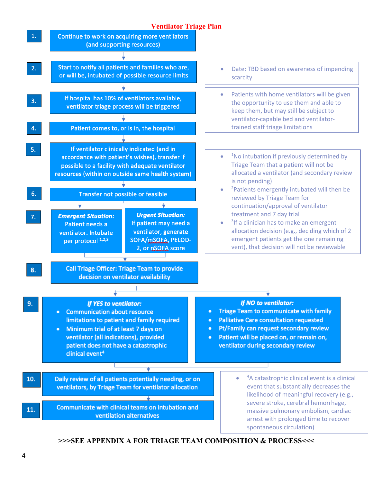

**>>>SEE APPENDIX A FOR TRIAGE TEAM COMPOSITION & PROCESS<<<**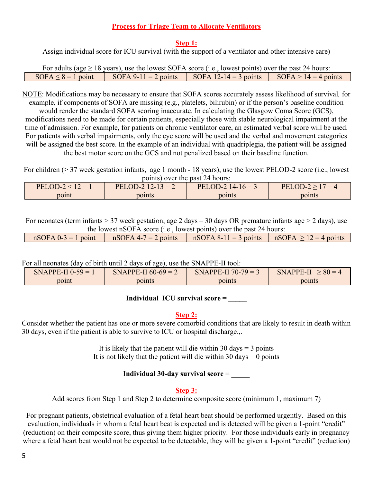#### **Process for Triage Team to Allocate Ventilators**

#### **Step 1:**

Assign individual score for ICU survival (with the support of a ventilator and other intensive care)

|                         | For adults (age $\geq$ 18 years), use the lowest SOFA score (i.e., lowest points) over the past 24 hours: |                       |                                       |
|-------------------------|-----------------------------------------------------------------------------------------------------------|-----------------------|---------------------------------------|
| $SOFA \leq 8 = 1$ point | $SOFA 9-11 = 2 points$                                                                                    | SOFA 12-14 = 3 points | $\text{SOFA} > 14 = 4 \text{ points}$ |

NOTE: Modifications may be necessary to ensure that SOFA scores accurately assess likelihood of survival*,* for example*,* if components of SOFA are missing (e.g., platelets, bilirubin) or if the person's baseline condition

would render the standard SOFA scoring inaccurate. In calculating the Glasgow Coma Score (GCS), modifications need to be made for certain patients, especially those with stable neurological impairment at the time of admission. For example, for patients on chronic ventilator care, an estimated verbal score will be used. For patients with verbal impairments, only the eye score will be used and the verbal and movement categories will be assigned the best score. In the example of an individual with quadriplegia, the patient will be assigned the best motor score on the GCS and not penalized based on their baseline function.

For children (> 37 week gestation infants, age 1 month - 18 years), use the lowest PELOD-2 score (i.e., lowest points) over the past 24 hours:

| $PELOD-2 < 12 = 1$ | PELOD-2 $12-13=2$ | PELOD-2 $14-16=3$ | PELOD-2 > $17 = 4$ |
|--------------------|-------------------|-------------------|--------------------|
| poınt              | points            | points            | ooints             |
|                    |                   |                   |                    |

For neonates (term infants > 37 week gestation, age 2 days – 30 days OR premature infants age > 2 days), use

| the lowest nSOFA score <i>(i.e., lowest points)</i> over the past 24 hours: |  |                                                                                              |  |  |
|-----------------------------------------------------------------------------|--|----------------------------------------------------------------------------------------------|--|--|
|                                                                             |  | $nSOFA$ 0-3 = 1 point $nSOFA$ 4-7 = 2 points $nSOFA$ 8-11 = 3 points $nSOFA > 12 = 4$ points |  |  |

For all neonates (day of birth until 2 days of age), use the SNAPPE-II tool:

| SNAPPE-II $0-59 =$ | <b>SNAPPE-II 60-69 = .</b> | $SNAPPE-II 70-79 =$ | $\cdot 80 = 4$<br><b>SNAPPE-II</b> |
|--------------------|----------------------------|---------------------|------------------------------------|
| point              | points                     | points              | points                             |

## **Individual ICU survival score =**

#### **Step 2:**

Consider whether the patient has one or more severe comorbid conditions that are likely to result in death within 30 days, even if the patient is able to survive to ICU or hospital discharge.,.

> It is likely that the patient will die within 30 days  $=$  3 points It is not likely that the patient will die within 30 days  $= 0$  points

#### **Individual 30-day survival score = \_\_\_\_\_**

#### **Step 3:**

Add scores from Step 1 and Step 2 to determine composite score (minimum 1, maximum 7)

For pregnant patients, obstetrical evaluation of a fetal heart beat should be performed urgently. Based on this evaluation, individuals in whom a fetal heart beat is expected and is detected will be given a 1-point "credit" (reduction) on their composite score, thus giving them higher priority. For those individuals early in pregnancy where a fetal heart beat would not be expected to be detectable, they will be given a 1-point "credit" (reduction)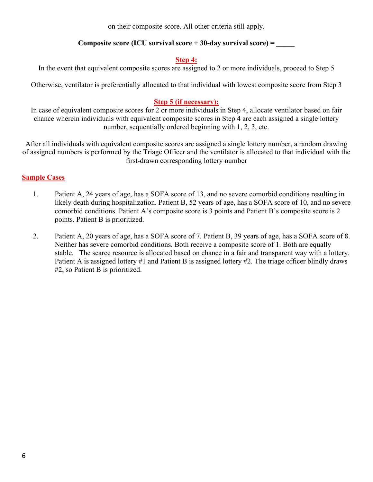on their composite score. All other criteria still apply.

### **Composite score (ICU survival score + 30-day survival score) = \_\_\_\_\_**

#### **Step 4:**

In the event that equivalent composite scores are assigned to 2 or more individuals, proceed to Step 5

Otherwise, ventilator is preferentially allocated to that individual with lowest composite score from Step 3

## **Step 5 (if necessary):**

In case of equivalent composite scores for 2 or more individuals in Step 4, allocate ventilator based on fair chance wherein individuals with equivalent composite scores in Step 4 are each assigned a single lottery number, sequentially ordered beginning with 1, 2, 3, etc.

After all individuals with equivalent composite scores are assigned a single lottery number, a random drawing of assigned numbers is performed by the Triage Officer and the ventilator is allocated to that individual with the first-drawn corresponding lottery number

## **Sample Cases**

- 1. Patient A, 24 years of age, has a SOFA score of 13, and no severe comorbid conditions resulting in likely death during hospitalization. Patient B, 52 years of age, has a SOFA score of 10, and no severe comorbid conditions. Patient A's composite score is 3 points and Patient B's composite score is 2 points. Patient B is prioritized.
- 2. Patient A, 20 years of age, has a SOFA score of 7. Patient B, 39 years of age, has a SOFA score of 8. Neither has severe comorbid conditions. Both receive a composite score of 1. Both are equally stable. The scarce resource is allocated based on chance in a fair and transparent way with a lottery. Patient A is assigned lottery #1 and Patient B is assigned lottery #2. The triage officer blindly draws #2, so Patient B is prioritized.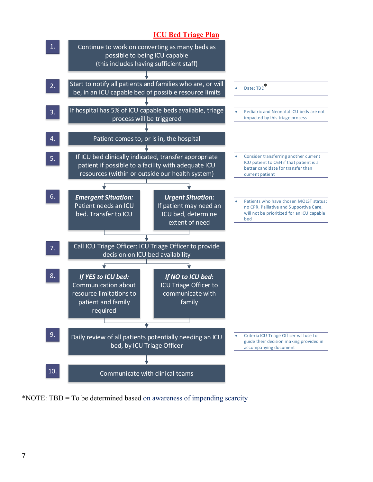## **ICU Bed Triage Plan**



\*NOTE: TBD = To be determined based on awareness of impending scarcity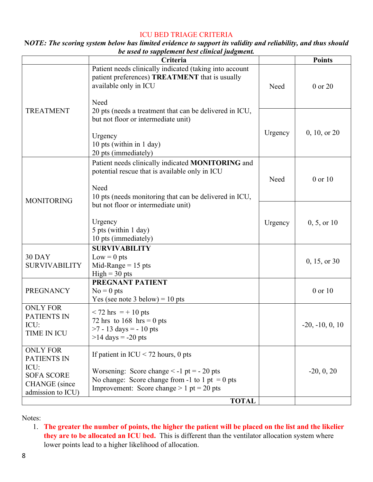#### ICU BED TRIAGE CRITERIA

| NOTE: The scoring system below has limited evidence to support its validity and reliability, and thus should |                                               |  |  |
|--------------------------------------------------------------------------------------------------------------|-----------------------------------------------|--|--|
|                                                                                                              | be used to supplement best clinical judgment. |  |  |

|                                                                                                          | Criteria                                                                                                                                                                                                  |         | <b>Points</b>     |
|----------------------------------------------------------------------------------------------------------|-----------------------------------------------------------------------------------------------------------------------------------------------------------------------------------------------------------|---------|-------------------|
|                                                                                                          | Patient needs clinically indicated (taking into account<br>patient preferences) TREATMENT that is usually<br>available only in ICU<br>Need                                                                | Need    | 0 or 20           |
| <b>TREATMENT</b>                                                                                         | 20 pts (needs a treatment that can be delivered in ICU,<br>but not floor or intermediate unit)<br>Urgency<br>10 pts (within in 1 day)<br>20 pts (immediately)                                             | Urgency | 0, 10, or 20      |
| <b>MONITORING</b>                                                                                        | Patient needs clinically indicated MONITORING and<br>potential rescue that is available only in ICU<br>Need<br>10 pts (needs monitoring that can be delivered in ICU,                                     | Need    | 0 or 10           |
|                                                                                                          | but not floor or intermediate unit)<br>Urgency<br>5 pts (within 1 day)<br>10 pts (immediately)                                                                                                            | Urgency | 0, 5, or 10       |
| 30 DAY<br><b>SURVIVABILITY</b>                                                                           | <b>SURVIVABILITY</b><br>$Low = 0$ pts<br>Mid-Range $= 15$ pts<br>$High = 30 pts$                                                                                                                          |         | 0, 15, or 30      |
| <b>PREGNANCY</b>                                                                                         | PREGNANT PATIENT<br>$No = 0$ pts<br>Yes (see note 3 below) = $10$ pts                                                                                                                                     |         | 0 or 10           |
| <b>ONLY FOR</b><br><b>PATIENTS IN</b><br>ICU:<br>TIME IN ICU                                             | $< 72$ hrs = + 10 pts<br>72 hrs to $168$ hrs = 0 pts<br>$>7 - 13 \text{ days} = -10 \text{ pts}$<br>$>14$ days = -20 pts                                                                                  |         | $-20, -10, 0, 10$ |
| <b>ONLY FOR</b><br>PATIENTS IN<br>ICU:<br><b>SOFA SCORE</b><br><b>CHANGE</b> (since<br>admission to ICU) | If patient in $ICU < 72$ hours, 0 pts<br>Worsening: Score change $\le$ -1 pt = - 20 pts<br>No change: Score change from -1 to 1 pt = 0 pts<br>Improvement: Score change $> 1$ pt = 20 pts<br><b>TOTAL</b> |         | $-20, 0, 20$      |

Notes:

1. **The greater the number of points, the higher the patient will be placed on the list and the likelier they are to be allocated an ICU bed.** This is different than the ventilator allocation system where lower points lead to a higher likelihood of allocation.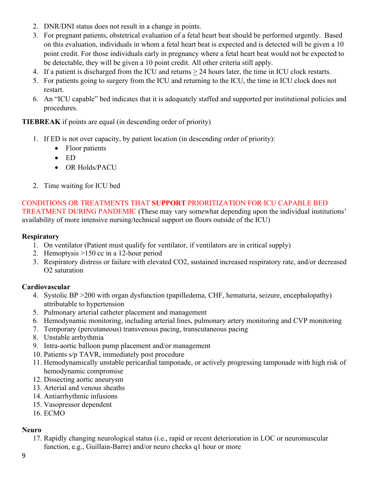- 2. DNR/DNI status does not result in a change in points.
- 3. For pregnant patients, obstetrical evaluation of a fetal heart beat should be performed urgently. Based on this evaluation, individuals in whom a fetal heart beat is expected and is detected will be given a 10 point credit. For those individuals early in pregnancy where a fetal heart beat would not be expected to be detectable, they will be given a 10 point credit. All other criteria still apply.
- 4. If a patient is discharged from the ICU and returns > 24 hours later, the time in ICU clock restarts.
- 5. For patients going to surgery from the ICU and returning to the ICU, the time in ICU clock does not restart.
- 6. An "ICU capable" bed indicates that it is adequately staffed and supported per institutional policies and procedures.

## **TIEBREAK** if points are equal (in descending order of priority)

- 1. If ED is not over capacity, by patient location (in descending order of priority):
	- Floor patients
	- ED
	- OR Holds/PACU
- 2. Time waiting for ICU bed

CONDITIONS OR TREATMENTS THAT **SUPPORT** PRIORITIZATION FOR ICU CAPABLE BED TREATMENT DURING PANDEMIC (These may vary somewhat depending upon the individual institutions' availability of more intensive nursing/technical support on floors outside of the ICU)

### **Respiratory**

- 1. On ventilator (Patient must qualify for ventilator, if ventilators are in critical supply)
- 2. Hemoptysis >150 cc in a 12-hour period
- 3. Respiratory distress or failure with elevated CO2, sustained increased respiratory rate, and/or decreased O2 saturation

## **Cardiovascular**

- 4. Systolic BP >200 with organ dysfunction (papilledema, CHF, hematuria, seizure, encephalopathy) attributable to hypertension
- 5. Pulmonary arterial catheter placement and management
- 6. Hemodynamic monitoring, including arterial lines, pulmonary artery monitoring and CVP monitoring
- 7. Temporary (percutaneous) transvenous pacing, transcutaneous pacing
- 8. Unstable arrhythmia
- 9. Intra-aortic balloon pump placement and/or management
- 10. Patients s/p TAVR, immediately post procedure
- 11. Hemodynamically unstable pericardial tamponade, or actively progressing tamponade with high risk of hemodynamic compromise
- 12. Dissecting aortic aneurysm
- 13. Arterial and venous sheaths
- 14. Antiarrhythmic infusions
- 15. Vasopressor dependent
- 16. ECMO

## **Neuro**

17. Rapidly changing neurological status (i.e., rapid or recent deterioration in LOC or neuromuscular function, e.g., Guillain-Barre) and/or neuro checks q1 hour or more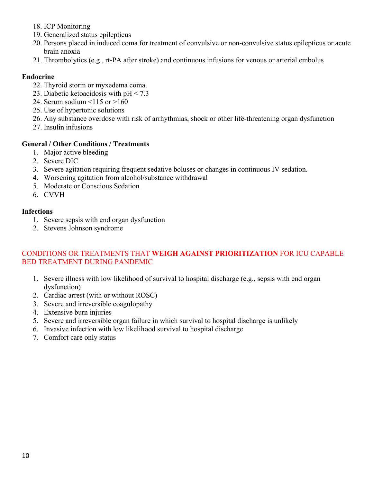- 18. ICP Monitoring
- 19. Generalized status epilepticus
- 20. Persons placed in induced coma for treatment of convulsive or non-convulsive status epilepticus or acute brain anoxia
- 21. Thrombolytics (e.g., rt-PA after stroke) and continuous infusions for venous or arterial embolus

### **Endocrine**

- 22. Thyroid storm or myxedema coma.
- 23. Diabetic ketoacidosis with pH < 7.3
- 24. Serum sodium <115 or >160
- 25. Use of hypertonic solutions
- 26. Any substance overdose with risk of arrhythmias, shock or other life-threatening organ dysfunction
- 27. Insulin infusions

### **General / Other Conditions / Treatments**

- 1. Major active bleeding
- 2. Severe DIC
- 3. Severe agitation requiring frequent sedative boluses or changes in continuous IV sedation.
- 4. Worsening agitation from alcohol/substance withdrawal
- 5. Moderate or Conscious Sedation
- 6. CVVH

### **Infections**

- 1. Severe sepsis with end organ dysfunction
- 2. Stevens Johnson syndrome

### CONDITIONS OR TREATMENTS THAT **WEIGH AGAINST PRIORITIZATION** FOR ICU CAPABLE BED TREATMENT DURING PANDEMIC

- 1. Severe illness with low likelihood of survival to hospital discharge (e.g., sepsis with end organ dysfunction)
- 2. Cardiac arrest (with or without ROSC)
- 3. Severe and irreversible coagulopathy
- 4. Extensive burn injuries
- 5. Severe and irreversible organ failure in which survival to hospital discharge is unlikely
- 6. Invasive infection with low likelihood survival to hospital discharge
- 7. Comfort care only status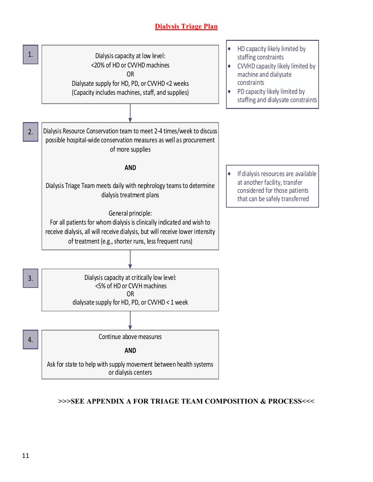# **Dialysis Triage Plan**



# **>>>SEE APPENDIX A FOR TRIAGE TEAM COMPOSITION & PROCESS<<<**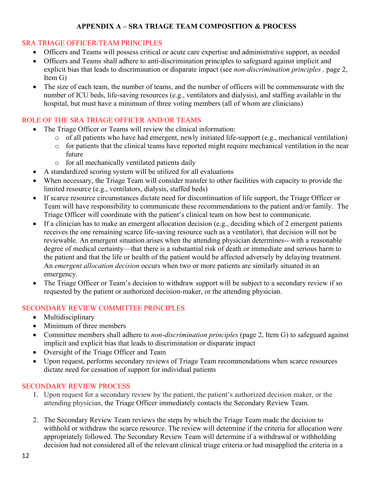## **APPENDIX A – SRA TRIAGE TEAM COMPOSITION & PROCESS**

## SRA TRIAGE OFFICER/TEAM PRINCIPLES

- Officers and Teams will possess critical or acute care expertise and administrative support, as needed
- Officers and Teams shall adhere to anti-discrimination principles to safeguard against implicit and explicit bias that leads to discrimination or disparate impact (see *non-discrimination principles ,* page 2, Item G)
- The size of each team, the number of teams, and the number of officers will be commensurate with the number of ICU beds, life-saving resources (e.g., ventilators and dialysis), and staffing available in the hospital, but must have a minimum of three voting members (all of whom are clinicians)

### ROLE OF THE SRA TRIAGE OFFICER AND/OR TEAMS

- The Triage Officer or Teams will review the clinical information:
	- o of all patients who have had emergent, newly initiated life-support (e.g., mechanical ventilation)
	- o for patients that the clinical teams have reported might require mechanical ventilation in the near future
	- o for all mechanically ventilated patients daily
- A standardized scoring system will be utilized for all evaluations
- When necessary, the Triage Team will consider transfer to other facilities with capacity to provide the limited resource (e.g., ventilators, dialysis, staffed beds)
- If scarce resource circumstances dictate need for discontinuation of life support, the Triage Officer or Team will have responsibility to communicate these recommendations to the patient and/or family. The Triage Officer will coordinate with the patient's clinical team on how best to communicate.
- If a clinician has to make an emergent allocation decision (e.g., deciding which of 2 emergent patients receives the one remaining scarce life-saving resource such as a ventilator), that decision will not be reviewable. An emergent situation arises when the attending physician determines-- with a reasonable degree of medical certainty—that there is a substantial risk of death or immediate and serious harm to the patient and that the life or health of the patient would be affected adversely by delaying treatment. An *emergent allocation decision* occurs when two or more patients are similarly situated in an emergency.
- The Triage Officer or Team's decision to withdraw support will be subject to a secondary review if so requested by the patient or authorized decision-maker, or the attending physician.

## SECONDARY REVIEW COMMITTEE PRINCIPLES

- Multidisciplinary
- Minimum of three members
- Committee members shall adhere to *non-discrimination principles* (page 2, Item G) to safeguard against implicit and explicit bias that leads to discrimination or disparate impact
- Oversight of the Triage Officer and Team
- Upon request, performs secondary reviews of Triage Team recommendations when scarce resources dictate need for cessation of support for individual patients

## SECONDARY REVIEW PROCESS

- 1. Upon request for a secondary review by the patient, the patient's authorized decision maker, or the attending physician, the Triage Officer immediately contacts the Secondary Review Team.
- 2. The Secondary Review Team reviews the steps by which the Triage Team made the decision to withhold or withdraw the scarce resource. The review will determine if the criteria for allocation were appropriately followed. The Secondary Review Team will determine if a withdrawal or withholding decision had not considered all of the relevant clinical triage criteria or had misapplied the criteria in a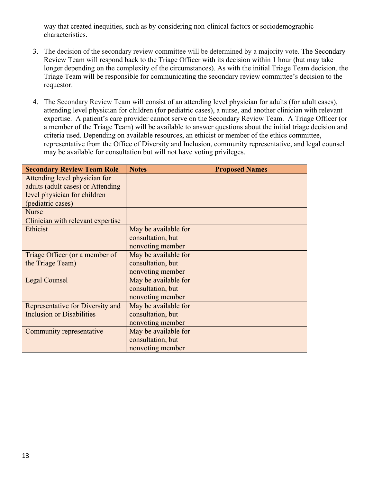way that created inequities, such as by considering non-clinical factors or sociodemographic characteristics.

- 3. The decision of the secondary review committee will be determined by a majority vote. The Secondary Review Team will respond back to the Triage Officer with its decision within 1 hour (but may take longer depending on the complexity of the circumstances). As with the initial Triage Team decision, the Triage Team will be responsible for communicating the secondary review committee's decision to the requestor.
- 4. The Secondary Review Team will consist of an attending level physician for adults (for adult cases), attending level physician for children (for pediatric cases), a nurse, and another clinician with relevant expertise. A patient's care provider cannot serve on the Secondary Review Team. A Triage Officer (or a member of the Triage Team) will be available to answer questions about the initial triage decision and criteria used. Depending on available resources, an ethicist or member of the ethics committee, representative from the Office of Diversity and Inclusion, community representative, and legal counsel may be available for consultation but will not have voting privileges.

| <b>Secondary Review Team Role</b> | <b>Notes</b>         | <b>Proposed Names</b> |
|-----------------------------------|----------------------|-----------------------|
| Attending level physician for     |                      |                       |
| adults (adult cases) or Attending |                      |                       |
| level physician for children      |                      |                       |
| (pediatric cases)                 |                      |                       |
| <b>Nurse</b>                      |                      |                       |
| Clinician with relevant expertise |                      |                       |
| Ethicist                          | May be available for |                       |
|                                   | consultation, but    |                       |
|                                   | nonvoting member     |                       |
| Triage Officer (or a member of    | May be available for |                       |
| the Triage Team)                  | consultation, but    |                       |
|                                   | nonvoting member     |                       |
| Legal Counsel                     | May be available for |                       |
|                                   | consultation, but    |                       |
|                                   | nonvoting member     |                       |
| Representative for Diversity and  | May be available for |                       |
| <b>Inclusion or Disabilities</b>  | consultation, but    |                       |
|                                   | nonvoting member     |                       |
| Community representative          | May be available for |                       |
|                                   | consultation, but    |                       |
|                                   | nonvoting member     |                       |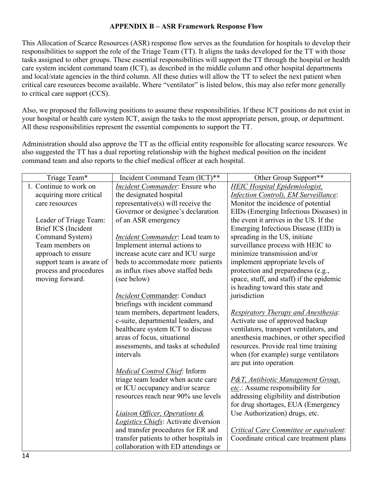## **APPENDIX B – ASR Framework Response Flow**

This Allocation of Scarce Resources (ASR) response flow serves as the foundation for hospitals to develop their responsibilities to support the role of the Triage Team (TT). It aligns the tasks developed for the TT with those tasks assigned to other groups. These essential responsibilities will support the TT through the hospital or health care system incident command team (ICT), as described in the middle column and other hospital departments and local/state agencies in the third column. All these duties will allow the TT to select the next patient when critical care resources become available. Where "ventilator" is listed below, this may also refer more generally to critical care support (CCS).

Also, we proposed the following positions to assume these responsibilities. If these ICT positions do not exist in your hospital or health care system ICT, assign the tasks to the most appropriate person, group, or department. All these responsibilities represent the essential components to support the TT.

Administration should also approve the TT as the official entity responsible for allocating scarce resources. We also suggested the TT has a dual reporting relationship with the highest medical position on the incident command team and also reports to the chief medical officer at each hospital.

| Triage Team*             | Incident Command Team (ICT)**            | Other Group Support**                         |
|--------------------------|------------------------------------------|-----------------------------------------------|
| 1. Continue to work on   | Incident Commander: Ensure who           | <b>HEIC Hospital Epidemiologist,</b>          |
| acquiring more critical  | the designated hospital                  | <b>Infection Control), EM Surveillance:</b>   |
| care resources           | representative $(s)$ will receive the    | Monitor the incidence of potential            |
|                          | Governor or designee's declaration       | EIDs (Emerging Infectious Diseases) in        |
| Leader of Triage Team:   | of an ASR emergency                      | the event it arrives in the US. If the        |
| Brief ICS (Incident      |                                          | Emerging Infectious Disease (EID) is          |
| Command System)          | <i>Incident Commander</i> : Lead team to | spreading in the US, initiate                 |
| Team members on          | Implement internal actions to            | surveillance process with HEIC to             |
| approach to ensure       | increase acute care and ICU surge        | minimize transmission and/or                  |
| support team is aware of | beds to accommodate more patients        | implement appropriate levels of               |
| process and procedures   | as influx rises above staffed beds       | protection and preparedness (e.g.,            |
| moving forward.          | (see below)                              | space, stuff, and staff) if the epidemic      |
|                          |                                          | is heading toward this state and              |
|                          | <b>Incident Commander: Conduct</b>       | jurisdiction                                  |
|                          | briefings with incident command          |                                               |
|                          | team members, department leaders,        | <b>Respiratory Therapy and Anesthesia:</b>    |
|                          | c-suite, departmental leaders, and       | Activate use of approved backup               |
|                          | healthcare system ICT to discuss         | ventilators, transport ventilators, and       |
|                          | areas of focus, situational              | anesthesia machines, or other specified       |
|                          | assessments, and tasks at scheduled      | resources. Provide real time training         |
|                          | intervals                                | when (for example) surge ventilators          |
|                          |                                          | are put into operation                        |
|                          | <b>Medical Control Chief: Inform</b>     |                                               |
|                          | triage team leader when acute care       | <b>P&amp;T</b> , Antibiotic Management Group. |
|                          | or ICU occupancy and/or scarce           | etc.: Assume responsibility for               |
|                          | resources reach near 90% use levels      | addressing eligibility and distribution       |
|                          |                                          | for drug shortages, EUA (Emergency            |
|                          | <b>Liaison Officer, Operations &amp;</b> | Use Authorization) drugs, etc.                |
|                          | Logistics Chiefs: Activate diversion     |                                               |
|                          | and transfer procedures for ER and       | Critical Care Committee or equivalent:        |
|                          | transfer patients to other hospitals in  | Coordinate critical care treatment plans      |
|                          | collaboration with ED attendings or      |                                               |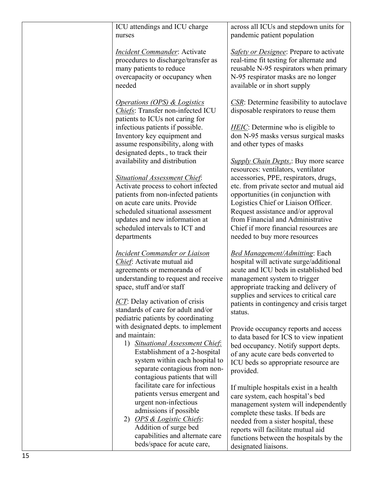| ICU attendings and ICU charge<br>nurses                                                                                                                                                                                                                                                                    | across all ICUs and stepdown units for<br>pandemic patient population                                                                                                                                                                                                                                                                                                                                  |
|------------------------------------------------------------------------------------------------------------------------------------------------------------------------------------------------------------------------------------------------------------------------------------------------------------|--------------------------------------------------------------------------------------------------------------------------------------------------------------------------------------------------------------------------------------------------------------------------------------------------------------------------------------------------------------------------------------------------------|
| <b>Incident Commander:</b> Activate<br>procedures to discharge/transfer as<br>many patients to reduce<br>overcapacity or occupancy when<br>needed                                                                                                                                                          | <b>Safety or Designee:</b> Prepare to activate<br>real-time fit testing for alternate and<br>reusable N-95 respirators when primary<br>N-95 respirator masks are no longer<br>available or in short supply                                                                                                                                                                                             |
| <b>Operations (OPS) &amp; Logistics</b><br>Chiefs: Transfer non-infected ICU<br>patients to ICUs not caring for                                                                                                                                                                                            | $\overline{CSR}$ : Determine feasibility to autoclave<br>disposable respirators to reuse them                                                                                                                                                                                                                                                                                                          |
| infectious patients if possible.<br>Inventory key equipment and<br>assume responsibility, along with<br>designated depts., to track their                                                                                                                                                                  | <b>HEIC</b> : Determine who is eligible to<br>don N-95 masks versus surgical masks<br>and other types of masks                                                                                                                                                                                                                                                                                         |
| availability and distribution<br><b>Situational Assessment Chief:</b><br>Activate process to cohort infected<br>patients from non-infected patients<br>on acute care units. Provide<br>scheduled situational assessment<br>updates and new information at<br>scheduled intervals to ICT and<br>departments | <b>Supply Chain Depts.: Buy more scarce</b><br>resources: ventilators, ventilator<br>accessories, PPE, respirators, drugs,<br>etc. from private sector and mutual aid<br>opportunities (in conjunction with<br>Logistics Chief or Liaison Officer.<br>Request assistance and/or approval<br>from Financial and Administrative<br>Chief if more financial resources are<br>needed to buy more resources |
| <b>Incident Commander or Liaison</b><br>Chief: Activate mutual aid<br>agreements or memoranda of<br>understanding to request and receive<br>space, stuff and/or staff<br>ICT: Delay activation of crisis<br>standards of care for adult and/or<br>pediatric patients by coordinating                       | <b>Bed Management/Admitting: Each</b><br>hospital will activate surge/additional<br>acute and ICU beds in established bed<br>management system to trigger<br>appropriate tracking and delivery of<br>supplies and services to critical care<br>patients in contingency and crisis target<br>status.                                                                                                    |
| with designated depts. to implement<br>and maintain:<br>1) Situational Assessment Chief:<br>Establishment of a 2-hospital<br>system within each hospital to<br>separate contagious from non-<br>contagious patients that will                                                                              | Provide occupancy reports and access<br>to data based for ICS to view inpatient<br>bed occupancy. Notify support depts.<br>of any acute care beds converted to<br>ICU beds so appropriate resource are<br>provided.                                                                                                                                                                                    |
| facilitate care for infectious<br>patients versus emergent and<br>urgent non-infectious<br>admissions if possible<br>2) OPS & Logistic Chiefs:<br>Addition of surge bed<br>capabilities and alternate care<br>beds/space for acute care,                                                                   | If multiple hospitals exist in a health<br>care system, each hospital's bed<br>management system will independently<br>complete these tasks. If beds are<br>needed from a sister hospital, these<br>reports will facilitate mutual aid<br>functions between the hospitals by the<br>designated liaisons.                                                                                               |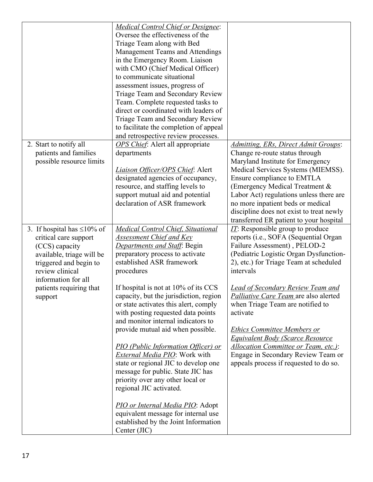|                                                                                                                                                                                                                     | <b>Medical Control Chief or Designee:</b><br>Oversee the effectiveness of the<br>Triage Team along with Bed<br>Management Teams and Attendings<br>in the Emergency Room. Liaison<br>with CMO (Chief Medical Officer)<br>to communicate situational<br>assessment issues, progress of<br>Triage Team and Secondary Review                                                                                 |                                                                                                                                                                                                                                                                                                                                                                                         |
|---------------------------------------------------------------------------------------------------------------------------------------------------------------------------------------------------------------------|----------------------------------------------------------------------------------------------------------------------------------------------------------------------------------------------------------------------------------------------------------------------------------------------------------------------------------------------------------------------------------------------------------|-----------------------------------------------------------------------------------------------------------------------------------------------------------------------------------------------------------------------------------------------------------------------------------------------------------------------------------------------------------------------------------------|
|                                                                                                                                                                                                                     | Team. Complete requested tasks to<br>direct or coordinated with leaders of<br>Triage Team and Secondary Review<br>to facilitate the completion of appeal<br>and retrospective review processes.                                                                                                                                                                                                          |                                                                                                                                                                                                                                                                                                                                                                                         |
| 2. Start to notify all<br>patients and families<br>possible resource limits                                                                                                                                         | <b>OPS Chief:</b> Alert all appropriate<br>departments<br><b>Liaison Officer/OPS Chief: Alert</b><br>designated agencies of occupancy,<br>resource, and staffing levels to<br>support mutual aid and potential<br>declaration of ASR framework                                                                                                                                                           | Admitting, ERs, Direct Admit Groups:<br>Change re-route status through<br>Maryland Institute for Emergency<br>Medical Services Systems (MIEMSS).<br>Ensure compliance to EMTLA<br>(Emergency Medical Treatment &<br>Labor Act) regulations unless there are<br>no more inpatient beds or medical<br>discipline does not exist to treat newly<br>transferred ER patient to your hospital |
| 3. If hospital has $\leq 10\%$ of<br>critical care support<br>(CCS) capacity<br>available, triage will be<br>triggered and begin to<br>review clinical<br>information for all<br>patients requiring that<br>support | <b>Medical Control Chief, Situational</b><br><b>Assessment Chief and Key</b><br><b>Departments and Staff: Begin</b><br>preparatory process to activate<br>established ASR framework<br>procedures<br>If hospital is not at 10% of its CCS<br>capacity, but the jurisdiction, region<br>or state activates this alert, comply<br>with posting requested data points<br>and monitor internal indicators to | II: Responsible group to produce<br>reports (i.e., SOFA (Sequential Organ<br>Failure Assessment), PELOD-2<br>(Pediatric Logistic Organ Dysfunction-<br>2), etc.) for Triage Team at scheduled<br>intervals<br><b>Lead of Secondary Review Team and</b><br>Palliative Care Team are also alerted<br>when Triage Team are notified to<br>activate                                         |
|                                                                                                                                                                                                                     | provide mutual aid when possible.<br><b>PIO (Public Information Officer) or</b><br>External Media PIO: Work with<br>state or regional JIC to develop one<br>message for public. State JIC has<br>priority over any other local or<br>regional JIC activated.<br>PIO or Internal Media PIO: Adopt<br>equivalent message for internal use<br>established by the Joint Information<br>Center (JIC)          | <b>Ethics Committee Members or</b><br><b>Equivalent Body (Scarce Resource</b><br>Allocation Committee or Team, etc.):<br>Engage in Secondary Review Team or<br>appeals process if requested to do so.                                                                                                                                                                                   |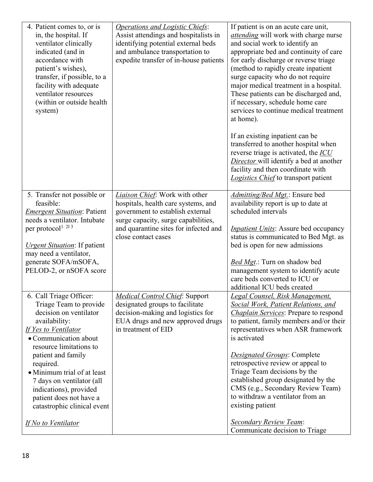| 4. Patient comes to, or is<br>in, the hospital. If<br>ventilator clinically<br>indicated (and in<br>accordance with<br>patient's wishes),<br>transfer, if possible, to a<br>facility with adequate<br>ventilator resources<br>(within or outside health<br>system)                                                                                                                        | Operations and Logistic Chiefs:<br>Assist attendings and hospitalists in<br>identifying potential external beds<br>and ambulance transportation to<br>expedite transfer of in-house patients                     | If patient is on an acute care unit,<br><i>attending</i> will work with charge nurse<br>and social work to identify an<br>appropriate bed and continuity of care<br>for early discharge or reverse triage<br>(method to rapidly create inpatient<br>surge capacity who do not require<br>major medical treatment in a hospital.<br>These patients can be discharged and,<br>if necessary, schedule home care<br>services to continue medical treatment<br>at home).<br>If an existing inpatient can be<br>transferred to another hospital when<br>reverse triage is activated, the ICU<br><b>Director</b> will identify a bed at another<br>facility and then coordinate with<br>Logistics Chief to transport patient |
|-------------------------------------------------------------------------------------------------------------------------------------------------------------------------------------------------------------------------------------------------------------------------------------------------------------------------------------------------------------------------------------------|------------------------------------------------------------------------------------------------------------------------------------------------------------------------------------------------------------------|-----------------------------------------------------------------------------------------------------------------------------------------------------------------------------------------------------------------------------------------------------------------------------------------------------------------------------------------------------------------------------------------------------------------------------------------------------------------------------------------------------------------------------------------------------------------------------------------------------------------------------------------------------------------------------------------------------------------------|
| 5. Transfer not possible or<br>feasible:<br><b>Emergent Situation: Patient</b><br>needs a ventilator. Intubate<br>per protocol <sup>1.213</sup><br><b><i><u>Urgent Situation</u></i>: If patient</b><br>may need a ventilator,<br>generate SOFA/mSOFA,<br>PELOD-2, or nSOFA score                                                                                                         | Liaison Chief: Work with other<br>hospitals, health care systems, and<br>government to establish external<br>surge capacity, surge capabilities,<br>and quarantine sites for infected and<br>close contact cases | Admitting/Bed Mgt.: Ensure bed<br>availability report is up to date at<br>scheduled intervals<br><b>Inpatient Units:</b> Assure bed occupancy<br>status is communicated to Bed Mgt. as<br>bed is open for new admissions<br>Bed Mgt.: Turn on shadow bed<br>management system to identify acute<br>care beds converted to ICU or<br>additional ICU beds created                                                                                                                                                                                                                                                                                                                                                       |
| 6. Call Triage Officer:<br>Triage Team to provide<br>decision on ventilator<br>availability:<br>If Yes to Ventilator<br>• Communication about<br>resource limitations to<br>patient and family<br>required.<br>· Minimum trial of at least<br>7 days on ventilator (all<br>indications), provided<br>patient does not have a<br>catastrophic clinical event<br><b>If No to Ventilator</b> | Medical Control Chief: Support<br>designated groups to facilitate<br>decision-making and logistics for<br>EUA drugs and new approved drugs<br>in treatment of EID                                                | Legal Counsel, Risk Management,<br><b>Social Work, Patient Relations, and</b><br><b>Chaplain Services:</b> Prepare to respond<br>to patient, family members and/or their<br>representatives when ASR framework<br>is activated<br><b>Designated Groups: Complete</b><br>retrospective review or appeal to<br>Triage Team decisions by the<br>established group designated by the<br>CMS (e.g., Secondary Review Team)<br>to withdraw a ventilator from an<br>existing patient<br><b>Secondary Review Team:</b><br>Communicate decision to Triage                                                                                                                                                                      |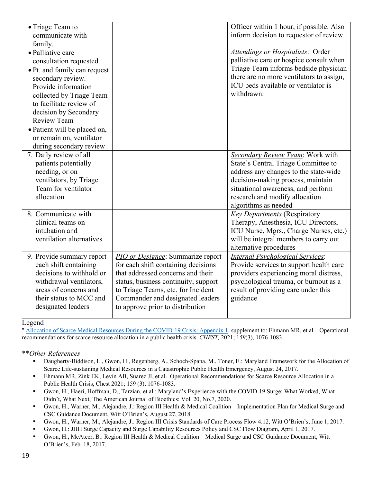| • Triage Team to             |                                      | Officer within 1 hour, if possible. Also |
|------------------------------|--------------------------------------|------------------------------------------|
| communicate with             |                                      | inform decision to requestor of review   |
| family.                      |                                      |                                          |
| • Palliative care            |                                      | <b>Attendings or Hospitalists: Order</b> |
| consultation requested.      |                                      | palliative care or hospice consult when  |
| • Pt. and family can request |                                      | Triage Team informs bedside physician    |
| secondary review.            |                                      | there are no more ventilators to assign, |
| Provide information          |                                      | ICU beds available or ventilator is      |
| collected by Triage Team     |                                      | withdrawn.                               |
| to facilitate review of      |                                      |                                          |
| decision by Secondary        |                                      |                                          |
| <b>Review Team</b>           |                                      |                                          |
| • Patient will be placed on, |                                      |                                          |
| or remain on, ventilator     |                                      |                                          |
| during secondary review      |                                      |                                          |
| 7. Daily review of all       |                                      | Secondary Review Team: Work with         |
| patients potentially         |                                      | State's Central Triage Committee to      |
| needing, or on               |                                      | address any changes to the state-wide    |
| ventilators, by Triage       |                                      | decision-making process, maintain        |
| Team for ventilator          |                                      | situational awareness, and perform       |
| allocation                   |                                      | research and modify allocation           |
|                              |                                      | algorithms as needed                     |
| 8. Communicate with          |                                      | <b>Key Departments</b> (Respiratory      |
| clinical teams on            |                                      | Therapy, Anesthesia, ICU Directors,      |
| intubation and               |                                      | ICU Nurse, Mgrs., Charge Nurses, etc.)   |
| ventilation alternatives     |                                      | will be integral members to carry out    |
|                              |                                      | alternative procedures                   |
| 9. Provide summary report    | PIO or Designee: Summarize report    | <b>Internal Psychological Services:</b>  |
| each shift containing        | for each shift containing decisions  | Provide services to support health care  |
| decisions to withhold or     | that addressed concerns and their    | providers experiencing moral distress,   |
| withdrawal ventilators,      | status, business continuity, support | psychological trauma, or burnout as a    |
| areas of concerns and        | to Triage Teams, etc. for Incident   | result of providing care under this      |
| their status to MCC and      | Commander and designated leaders     | guidance                                 |
| designated leaders           | to approve prior to distribution     |                                          |
|                              |                                      |                                          |

#### Legend

Allocation of Scarce Medical Resources During the COVID-19 Crisis: Appendix 1, supplement to: Ehmann MR, et al. . Operational recommendations for scarce resource allocation in a public health crisis. *CHEST,* 2021; 1*59*(3), 1076-1083.

#### \*\**Other References*

- § Daugherty-Biddison, L., Gwon, H., Regenberg, A., Schoch-Spana, M., Toner, E.: Maryland Framework for the Allocation of Scarce Life-sustaining Medical Resources in a Catastrophic Public Health Emergency, August 24, 2017.
- § Ehmann MR, Zink EK, Levin AB, Suarez JI, et al. Operational Recommendations for Scarce Resource Allocation in a Public Health Crisis, Chest 2021; 159 (3), 1076-1083.
- § Gwon, H., Haeri, Hoffman, D., Tarzian, et al.: Maryland's Experience with the COVID-19 Surge: What Worked, What Didn't, What Next, The American Journal of Bioethics: Vol. 20, No.7, 2020.
- § Gwon, H., Warner, M., Alejandre, J.: Region III Health & Medical Coalition—Implementation Plan for Medical Surge and CSC Guidance Document, Witt O'Brien's, August 27, 2018.
- § Gwon, H., Warner, M., Alejandre, J.: Region III Crisis Standards of Care Process Flow 4.12, Witt O'Brien's, June 1, 2017.
- § Gwon, H.: JHH Surge Capacity and Surge Capability Resources Policy and CSC Flow Diagram, April 1, 2017.
- § Gwon, H., McAteer, B.: Region III Health & Medical Coalition—Medical Surge and CSC Guidance Document, Witt O'Brien's, Feb. 18, 2017.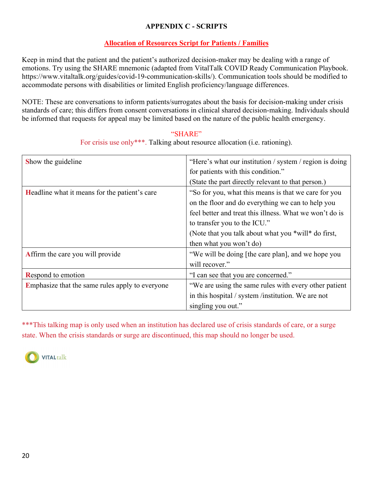## **APPENDIX C - SCRIPTS**

# **Allocation of Resources Script for Patients / Families**

Keep in mind that the patient and the patient's authorized decision-maker may be dealing with a range of emotions. Try using the SHARE mnemonic (adapted from VitalTalk COVID Ready Communication Playbook. https://www.vitaltalk.org/guides/covid-19-communication-skills/). Communication tools should be modified to accommodate persons with disabilities or limited English proficiency/language differences.

NOTE: These are conversations to inform patients/surrogates about the basis for decision-making under crisis standards of care; this differs from consent conversations in clinical shared decision-making. Individuals should be informed that requests for appeal may be limited based on the nature of the public health emergency.

#### "SHARE"

For crisis use only\*\*\*. Talking about resource allocation (i.e. rationing).

| Show the guideline                                   | "Here's what our institution / system / region is doing |
|------------------------------------------------------|---------------------------------------------------------|
|                                                      | for patients with this condition."                      |
|                                                      | (State the part directly relevant to that person.)      |
| <b>Headline</b> what it means for the patient's care | "So for you, what this means is that we care for you    |
|                                                      | on the floor and do everything we can to help you       |
|                                                      | feel better and treat this illness. What we won't do is |
|                                                      | to transfer you to the ICU."                            |
|                                                      | (Note that you talk about what you *will* do first,     |
|                                                      | then what you won't do)                                 |
| Affirm the care you will provide                     | "We will be doing [the care plan], and we hope you      |
|                                                      | will recover."                                          |
| <b>Respond to emotion</b>                            | "I can see that you are concerned."                     |
| Emphasize that the same rules apply to everyone      | "We are using the same rules with every other patient   |
|                                                      | in this hospital / system /institution. We are not      |
|                                                      | singling you out."                                      |

\*\*\*This talking map is only used when an institution has declared use of crisis standards of care, or a surge state. When the crisis standards or surge are discontinued, this map should no longer be used.

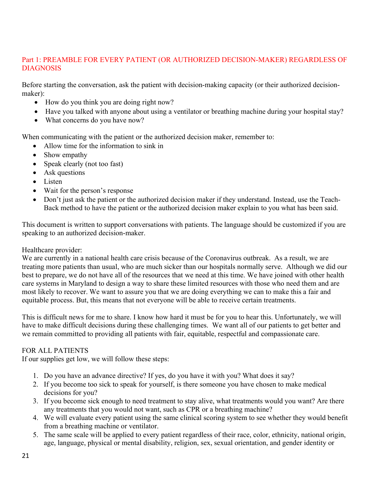## Part 1: PREAMBLE FOR EVERY PATIENT (OR AUTHORIZED DECISION-MAKER) REGARDLESS OF DIAGNOSIS

Before starting the conversation, ask the patient with decision-making capacity (or their authorized decisionmaker):

- How do you think you are doing right now?
- Have you talked with anyone about using a ventilator or breathing machine during your hospital stay?
- What concerns do you have now?

When communicating with the patient or the authorized decision maker, remember to:

- Allow time for the information to sink in
- Show empathy
- Speak clearly (not too fast)
- Ask questions
- Listen
- Wait for the person's response
- Don't just ask the patient or the authorized decision maker if they understand. Instead, use the Teach-Back method to have the patient or the authorized decision maker explain to you what has been said.

This document is written to support conversations with patients. The language should be customized if you are speaking to an authorized decision-maker.

#### Healthcare provider:

We are currently in a national health care crisis because of the Coronavirus outbreak. As a result, we are treating more patients than usual, who are much sicker than our hospitals normally serve. Although we did our best to prepare, we do not have all of the resources that we need at this time. We have joined with other health care systems in Maryland to design a way to share these limited resources with those who need them and are most likely to recover. We want to assure you that we are doing everything we can to make this a fair and equitable process. But, this means that not everyone will be able to receive certain treatments.

This is difficult news for me to share. I know how hard it must be for you to hear this. Unfortunately, we will have to make difficult decisions during these challenging times. We want all of our patients to get better and we remain committed to providing all patients with fair, equitable, respectful and compassionate care.

## FOR ALL PATIENTS

If our supplies get low, we will follow these steps:

- 1. Do you have an advance directive? If yes, do you have it with you? What does it say?
- 2. If you become too sick to speak for yourself, is there someone you have chosen to make medical decisions for you?
- 3. If you become sick enough to need treatment to stay alive, what treatments would you want? Are there any treatments that you would not want, such as CPR or a breathing machine?
- 4. We will evaluate every patient using the same clinical scoring system to see whether they would benefit from a breathing machine or ventilator.
- 5. The same scale will be applied to every patient regardless of their race, color, ethnicity, national origin, age, language, physical or mental disability, religion, sex, sexual orientation, and gender identity or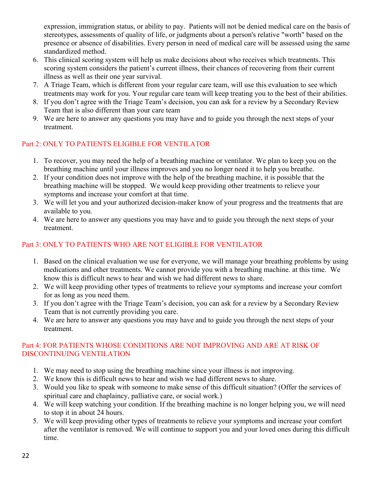expression, immigration status, or ability to pay. Patients will not be denied medical care on the basis of stereotypes, assessments of quality of life, or judgments about a person's relative "worth" based on the presence or absence of disabilities. Every person in need of medical care will be assessed using the same standardized method.

- 6. This clinical scoring system will help us make decisions about who receives which treatments. This scoring system considers the patient's current illness, their chances of recovering from their current illness as well as their one year survival.
- 7. A Triage Team, which is different from your regular care team, will use this evaluation to see which treatments may work for you. Your regular care team will keep treating you to the best of their abilities.
- 8. If you don't agree with the Triage Team's decision, you can ask for a review by a Secondary Review Team that is also different than your care team
- 9. We are here to answer any questions you may have and to guide you through the next steps of your treatment.

## Part 2: ONLY TO PATIENTS ELIGIBLE FOR VENTILATOR

- 1. To recover, you may need the help of a breathing machine or ventilator. We plan to keep you on the breathing machine until your illness improves and you no longer need it to help you breathe.
- 2. If your condition does not improve with the help of the breathing machine, it is possible that the breathing machine will be stopped. We would keep providing other treatments to relieve your symptoms and increase your comfort at that time.
- 3. We will let you and your authorized decision-maker know of your progress and the treatments that are available to you.
- 4. We are here to answer any questions you may have and to guide you through the next steps of your treatment.

# Part 3: ONLY TO PATIENTS WHO ARE NOT ELIGIBLE FOR VENTILATOR

- 1. Based on the clinical evaluation we use for everyone, we will manage your breathing problems by using medications and other treatments. We cannot provide you with a breathing machine. at this time. We know this is difficult news to hear and wish we had different news to share.
- 2. We will keep providing other types of treatments to relieve your symptoms and increase your comfort for as long as you need them.
- 3. If you don't agree with the Triage Team's decision, you can ask for a review by a Secondary Review Team that is not currently providing you care.
- 4. We are here to answer any questions you may have and to guide you through the next steps of your treatment.

## Part 4: FOR PATIENTS WHOSE CONDITIONS ARE NOT IMPROVING AND ARE AT RISK OF DISCONTINUING VENTILATION

- 1. We may need to stop using the breathing machine since your illness is not improving.
- 2. We know this is difficult news to hear and wish we had different news to share.
- 3. Would you like to speak with someone to make sense of this difficult situation? (Offer the services of spiritual care and chaplaincy, palliative care, or social work.)
- 4. We will keep watching your condition. If the breathing machine is no longer helping you, we will need to stop it in about 24 hours.
- 5. We will keep providing other types of treatments to relieve your symptoms and increase your comfort after the ventilator is removed. We will continue to support you and your loved ones during this difficult time.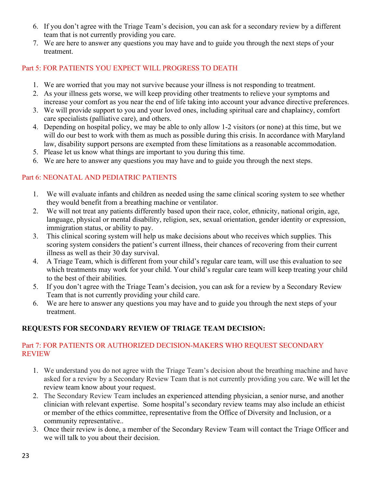- 6. If you don't agree with the Triage Team's decision, you can ask for a secondary review by a different team that is not currently providing you care.
- 7. We are here to answer any questions you may have and to guide you through the next steps of your treatment.

## Part 5: FOR PATIENTS YOU EXPECT WILL PROGRESS TO DEATH

- 1. We are worried that you may not survive because your illness is not responding to treatment.
- 2. As your illness gets worse, we will keep providing other treatments to relieve your symptoms and increase your comfort as you near the end of life taking into account your advance directive preferences.
- 3. We will provide support to you and your loved ones, including spiritual care and chaplaincy, comfort care specialists (palliative care), and others.
- 4. Depending on hospital policy, we may be able to only allow 1-2 visitors (or none) at this time, but we will do our best to work with them as much as possible during this crisis. In accordance with Maryland law, disability support persons are exempted from these limitations as a reasonable accommodation.
- 5. Please let us know what things are important to you during this time.
- 6. We are here to answer any questions you may have and to guide you through the next steps.

## Part 6: NEONATAL AND PEDIATRIC PATIENTS

- 1. We will evaluate infants and children as needed using the same clinical scoring system to see whether they would benefit from a breathing machine or ventilator.
- 2. We will not treat any patients differently based upon their race, color, ethnicity, national origin, age, language, physical or mental disability, religion, sex, sexual orientation, gender identity or expression, immigration status, or ability to pay.
- 3. This clinical scoring system will help us make decisions about who receives which supplies. This scoring system considers the patient's current illness, their chances of recovering from their current illness as well as their 30 day survival.
- 4. A Triage Team, which is different from your child's regular care team, will use this evaluation to see which treatments may work for your child. Your child's regular care team will keep treating your child to the best of their abilities.
- 5. If you don't agree with the Triage Team's decision, you can ask for a review by a Secondary Review Team that is not currently providing your child care.
- 6. We are here to answer any questions you may have and to guide you through the next steps of your treatment.

## **REQUESTS FOR SECONDARY REVIEW OF TRIAGE TEAM DECISION:**

### Part 7: FOR PATIENTS OR AUTHORIZED DECISION-MAKERS WHO REQUEST SECONDARY REVIEW

- 1. We understand you do not agree with the Triage Team's decision about the breathing machine and have asked for a review by a Secondary Review Team that is not currently providing you care. We will let the review team know about your request.
- 2. The Secondary Review Team includes an experienced attending physician, a senior nurse, and another clinician with relevant expertise. Some hospital's secondary review teams may also include an ethicist or member of the ethics committee, representative from the Office of Diversity and Inclusion, or a community representative..
- 3. Once their review is done, a member of the Secondary Review Team will contact the Triage Officer and we will talk to you about their decision.